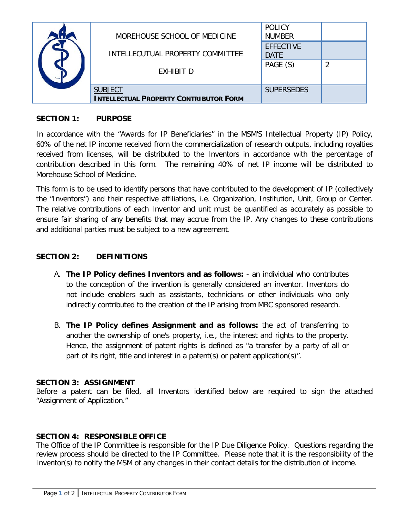|  | MOREHOUSE SCHOOL OF MEDICINE                                    | <b>POLICY</b><br><b>NUMBER</b>  |  |
|--|-----------------------------------------------------------------|---------------------------------|--|
|  | INTELLECUTUAL PROPERTY COMMITTEE                                | <b>FFFFCTIVE</b><br><b>DATE</b> |  |
|  | <b>EXHIBIT D</b>                                                | PAGE (S)                        |  |
|  | <b>SUBJECT</b><br><b>INTELLECTUAL PROPERTY CONTRIBUTOR FORM</b> | <b>SUPERSEDES</b>               |  |

## **SECTION 1: PURPOSE**

In accordance with the "Awards for IP Beneficiaries" in the MSM'S Intellectual Property (IP) Policy, 60% of the net IP income received from the commercialization of research outputs, including royalties received from licenses, will be distributed to the Inventors in accordance with the percentage of contribution described in this form. The remaining 40% of net IP income will be distributed to Morehouse School of Medicine.

This form is to be used to identify persons that have contributed to the development of IP (collectively the "Inventors") and their respective affiliations, i.e. Organization, Institution, Unit, Group or Center. The relative contributions of each Inventor and unit must be quantified as accurately as possible to ensure fair sharing of any benefits that may accrue from the IP. Any changes to these contributions and additional parties must be subject to a new agreement.

## **SECTION 2: DEFINITIONS**

- A. **The IP Policy defines Inventors and as follows:** an individual who contributes to the conception of the invention is generally considered an inventor. Inventors do not include enablers such as assistants, technicians or other individuals who only indirectly contributed to the creation of the IP arising from MRC sponsored research.
- B. **The IP Policy defines Assignment and as follows:** the act of transferring to another the ownership of one's property, i.e., the interest and rights to the property. Hence, the assignment of patent rights is defined as "a transfer by a party of all or part of its right, title and interest in a patent(s) or patent application(s)".

#### **SECTION 3: ASSIGNMENT**

Before a patent can be filed, all Inventors identified below are required to sign the attached "Assignment of Application."

### **SECTION 4: RESPONSIBLE OFFICE**

The Office of the IP Committee is responsible for the IP Due Diligence Policy. Questions regarding the review process should be directed to the IP Committee. Please note that it is the responsibility of the Inventor(s) to notify the MSM of any changes in their contact details for the distribution of income.